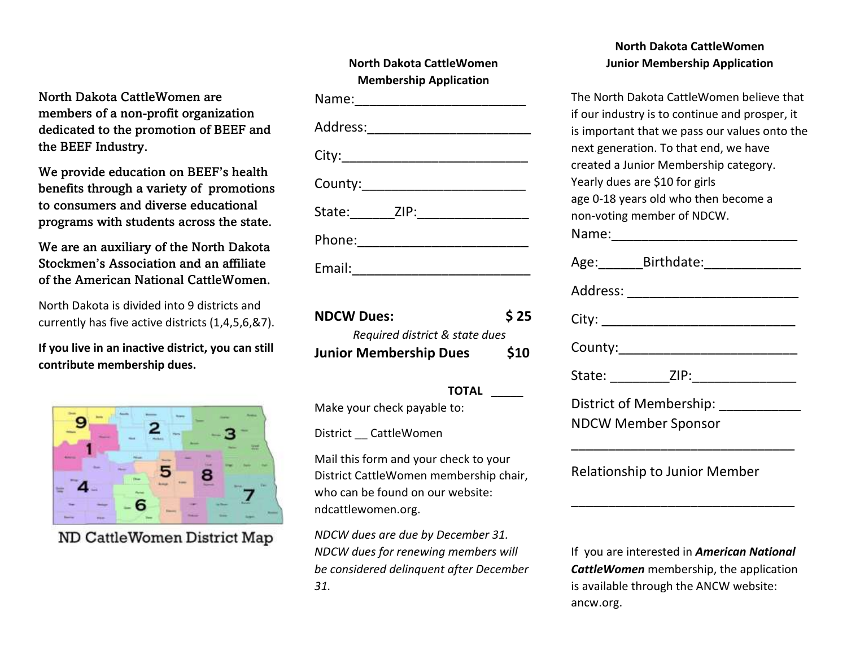North Dakota CattleWomen are members of a non-profit organization dedicated to the promotion of BEEF and the BEEF Industry.

We provide education on BEEF's health benefits through a variety of promotions to consumers and diverse educational programs with students across the state.

We are an auxiliary of the North Dakota Stockmen's Association and an affiliate of the American National CattleWomen.

North Dakota is divided into 9 districts and currently has five active districts (1,4,5,6,&7).

**If you live in an inactive district, you can still contribute membership dues.**



ND CattleWomen District Map

| North Dakota Cattlewomen<br><b>Membership Application</b> |
|-----------------------------------------------------------|
|                                                           |
|                                                           |
|                                                           |
| County:___________________________                        |
| State:_________ZIP:___________________                    |
| Phone:___________________________                         |
| Email:_________________________                           |

**North Dakota CattleWomen**

| <b>NDCW Dues:</b>              | \$25 |
|--------------------------------|------|
| Required district & state dues |      |
| <b>Junior Membership Dues</b>  | \$10 |

#### **TOTAL \_\_\_\_\_**

Make your check payable to:

District \_\_ CattleWomen

Mail this form and your check to your District CattleWomen membership chair, who can be found on our website: ndcattlewomen.org.

*NDCW dues are due by December 31. NDCW dues for renewing members will be considered delinquent after December 31.*

### **North Dakota CattleWomen Junior Membership Application**

The North Dakota CattleWomen believe that if our industry is to continue and prosper, it is important that we pass our values onto the next generation. To that end, we have created a Junior Membership category. Yearly dues are \$10 for girls age 0-18 years old who then become a non-voting member of NDCW. Name:\_\_\_\_\_\_\_\_\_\_\_\_\_\_\_\_\_\_\_\_\_\_\_\_\_ Age: Birthdate: Address: \_\_\_\_\_\_\_\_\_\_\_\_\_\_\_\_\_\_\_\_\_\_\_ City: \_\_\_\_\_\_\_\_\_\_\_\_\_\_\_\_\_\_\_\_\_\_\_\_\_\_ County: State: ZIP: District of Membership: NDCW Member Sponsor \_\_\_\_\_\_\_\_\_\_\_\_\_\_\_\_\_\_\_\_\_\_\_\_\_\_\_\_\_\_ Relationship to Junior Member \_\_\_\_\_\_\_\_\_\_\_\_\_\_\_\_\_\_\_\_\_\_\_\_\_\_\_\_\_\_

If you are interested in *American National CattleWomen* membership, the application is available through the ANCW website: ancw.org.